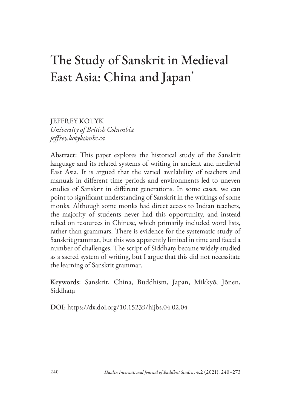# The Study of Sanskrit in Medieval East Asia: China and Japan\*

JEFFREY KOTYK *University of British Columbia jeffrey.kotyk@ubc.ca*

Abstract: This paper explores the historical study of the Sanskrit language and its related systems of writing in ancient and medieval East Asia. It is argued that the varied availability of teachers and manuals in different time periods and environments led to uneven studies of Sanskrit in different generations. In some cases, we can point to significant understanding of Sanskrit in the writings of some monks. Although some monks had direct access to Indian teachers, the majority of students never had this opportunity, and instead relied on resources in Chinese, which primarily included word lists, rather than grammars. There is evidence for the systematic study of Sanskrit grammar, but this was apparently limited in time and faced a number of challenges. The script of Siddhaṃ became widely studied as a sacred system of writing, but I argue that this did not necessitate the learning of Sanskrit grammar.

Keywords: Sanskrit, China, Buddhism, Japan, Mikkyō, Jōnen, Siddhaṃ

DOI: https://dx.doi.org/10.15239/hijbs.04.02.04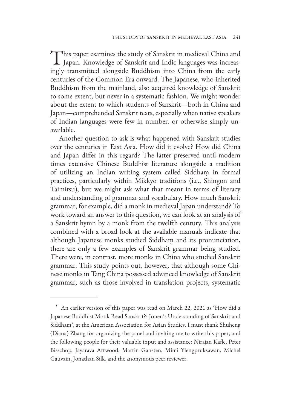This paper examines the study of Sanskrit in medieval China and<br>Japan. Knowledge of Sanskrit and Indic languages was increasingly transmitted alongside Buddhism into China from the early centuries of the Common Era onward. The Japanese, who inherited Buddhism from the mainland, also acquired knowledge of Sanskrit to some extent, but never in a systematic fashion. We might wonder about the extent to which students of Sanskrit—both in China and Japan—comprehended Sanskrit texts, especially when native speakers of Indian languages were few in number, or otherwise simply unavailable.

Another question to ask is what happened with Sanskrit studies over the centuries in East Asia. How did it evolve? How did China and Japan differ in this regard? The latter preserved until modern times extensive Chinese Buddhist literature alongside a tradition of utilizing an Indian writing system called Siddhaṃ in formal practices, particularly within Mikkyō traditions (i.e., Shingon and Taimitsu), but we might ask what that meant in terms of literacy and understanding of grammar and vocabulary. How much Sanskrit grammar, for example, did a monk in medieval Japan understand? To work toward an answer to this question, we can look at an analysis of a Sanskrit hymn by a monk from the twelfth century. This analysis combined with a broad look at the available manuals indicate that although Japanese monks studied Siddhaṃ and its pronunciation, there are only a few examples of Sanskrit grammar being studied. There were, in contrast, more monks in China who studied Sanskrit grammar. This study points out, however, that although some Chinese monks in Tang China possessed advanced knowledge of Sanskrit grammar, such as those involved in translation projects, systematic

An earlier version of this paper was read on March 22, 2021 as 'How did a Japanese Buddhist Monk Read Sanskrit?: Jōnen's Understanding of Sanskrit and Siddhaṃ', at the American Association for Asian Studies. I must thank Shuheng (Diana) Zhang for organizing the panel and inviting me to write this paper, and the following people for their valuable input and assistance: Nirajan Kafle, Peter Bisschop, Jayarava Attwood, Martin Gansten, Mimi Yiengpruksawan, Michel Gauvain, Jonathan Silk, and the anonymous peer reviewer.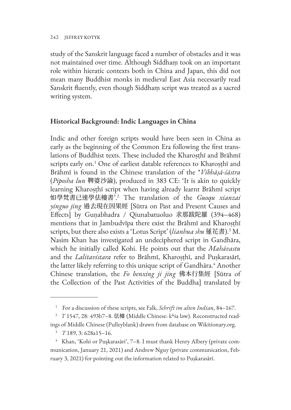study of the Sanskrit language faced a number of obstacles and it was not maintained over time. Although Siddhaṃ took on an important role within hieratic contexts both in China and Japan, this did not mean many Buddhist monks in medieval East Asia necessarily read Sanskrit fluently, even though Siddhaṃ script was treated as a sacred writing system.

## **Historical Background: Indic Languages in China**

Indic and other foreign scripts would have been seen in China as early as the beginning of the Common Era following the first translations of Buddhist texts. These included the Kharosthī and Brāhmī scripts early on.<sup>1</sup> One of earliest datable references to Kharoṣṭhī and Brāhmī is found in the Chinese translation of the \**Vibhāṣā-śāstra* (*Piposha lun* 鞞婆沙論), produced in 383 CE: 'It is akin to quickly learning Kharoṣṭhī script when having already learnt Brāhmī script 如學梵書已速學佉樓書'.<sup>2</sup> The translation of the *Guoqu xianzai yinguo jing* 過去現在因果經 [Sūtra on Past and Present Causes and Effects] by Guṇabhadra / Qiunabatuoluo 求那跋陀羅 (394–468) mentions that in Jambudvīpa there exist the Brāhmī and Kharoṣṭhī scripts, but there also exists a 'Lotus Script' (*lianhua shu* 蓮花書).<sup>3</sup> M. Nasim Khan has investigated an undeciphered script in Gandhāra, which he initially called Kohi. He points out that the *Mahāvastu* and the *Lalitavistara* refer to Brāhmī, Kharoṣṭhī, and Puṣkarasārī, the latter likely referring to this unique script of Gandhāra.<sup>4</sup> Another Chinese translation, the *Fo benxing ji jing* 佛本行集經 [Sūtra of the Collection of the Past Activities of the Buddha] translated by

<sup>1</sup> For a discussion of these scripts, see Falk, *Schrift im alten Indian*, 84–167.

<sup>&</sup>lt;sup>2</sup> T 1547, 28: 493b7–8. 佉樓 (Middle Chinese: kʰɨa ləw). Reconstructed read-

ings of Middle Chinese (Pulleyblank) drawn from database on Wikitionary.org.

<sup>3</sup>*T* 189, 3: 628a15–16.

<sup>4</sup> Khan, 'Kohi or Puşkarasāri', 7–8. I must thank Henry Albery (private communication, January 21, 2021) and Andrew Nguy (private communication, February 3, 2021) for pointing out the information related to Puṣkarasārī.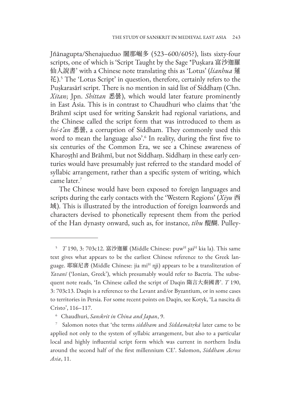Jñānagupta/Shenajueduo 闍那崛多 (523–600/605?), lists sixty-four scripts, one of which is 'Script Taught by the Sage \*Puṣkara 富沙迦羅 仙人說書' with a Chinese note translating this as 'Lotus' (*lianhua* 蓮 花).<sup>5</sup> The 'Lotus Script' in question, therefore, certainly refers to the Puṣkarasārī script. There is no mention in said list of Siddhaṃ (Chn. *Xitan*; Jpn. *Shittan* 悉曇), which would later feature prominently in East Asia. This is in contrast to Chaudhuri who claims that 'the Brāhmī scipt used for writing Sanskrit had regional variations, and the Chinese called the script form that was introduced to them as *hsi-t'an* 悉曇, a corruption of Siddham. They commonly used this word to mean the language also'.6 In reality, during the first five to six centuries of the Common Era, we see a Chinese awareness of Kharoṣṭhī and Brāhmī, but not Siddhaṃ. Siddhaṃ in these early centuries would have presumably just referred to the standard model of syllabic arrangement, rather than a specific system of writing, which came later.<sup>7</sup>

The Chinese would have been exposed to foreign languages and scripts during the early contacts with the 'Western Regions' (*Xiyu* 西 域). This is illustrated by the introduction of foreign loanwords and characters devised to phonetically represent them from the period of the Han dynasty onward, such as, for instance, *tihu* 醍醐. Pulley-

<sup>&</sup>lt;sup>5</sup> T 190, 3: 703c12. 富沙迦羅 (Middle Chinese: puw<sup>H</sup> ʂaɨ<sup>H</sup> kɨa la). This same text gives what appears to be the earliest Chinese reference to the Greek language. 耶寐尼書 (Middle Chinese: jia mi<sup>H</sup> ηji) appears to be a transliteration of *Yavanī* ('Ionian, Greek'), which presumably would refer to Bactria. The subsequent note reads, 'In Chinese called the script of Daqin 隋言大秦國書'. *T* 190, 3: 703c13. Daqin is a reference to the Levant and/or Byzantium, or in some cases to territories in Persia. For some recent points on Daqin, see Kotyk, 'La nascita di Cristo', 116–117.

<sup>6</sup> Chaudhuri, *Sanskrit in China and Japan*, 9.

<sup>7</sup> Salomon notes that 'the terms *siddham* and *Siddamātṛkā* later came to be applied not only to the system of syllabic arrangement, but also to a particular local and highly influential script form which was current in northern India around the second half of the first millennium CE'. Salomon, *Siddham Across Asia*, 11.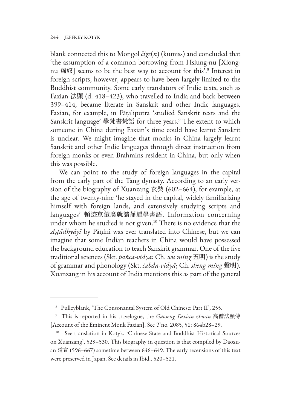blank connected this to Mongol *čige*(*n*) (kumiss) and concluded that 'the assumption of a common borrowing from Hsiung-nu [Xiongnu 匈奴] seems to be the best way to account for this'.8 Interest in foreign scripts, however, appears to have been largely limited to the Buddhist community. Some early translators of Indic texts, such as Faxian 法顯 (d. 418–423), who travelled to India and back between 399–414, became literate in Sanskrit and other Indic languages. Faxian, for example, in Pāṭaliputra 'studied Sanskrit texts and the Sanskrit language' 學梵書梵語 for three years.9 The extent to which someone in China during Faxian's time could have learnt Sanskrit is unclear. We might imagine that monks in China largely learnt Sanskrit and other Indic languages through direct instruction from foreign monks or even Brahmins resident in China, but only when this was possible.

We can point to the study of foreign languages in the capital from the early part of the Tang dynasty. According to an early version of the biography of Xuanzang 玄奘 (602–664), for example, at the age of twenty-nine 'he stayed in the capital, widely familiarizing himself with foreign lands, and extensively studying scripts and languages' 頓迹京輦廣就諸藩遍學書語. Information concerning under whom he studied is not given.<sup>10</sup> There is no evidence that the *Aṣṭādhyāyī* by Pāṇini was ever translated into Chinese, but we can imagine that some Indian teachers in China would have possessed the background education to teach Sanskrit grammar. One of the five traditional sciences (Skt. *pañca-vidyā*; Ch. *wu ming* 五明) is the study of grammar and phonology (Skt. *śabda-vidyā*; Ch. *sheng ming* 聲明). Xuanzang in his account of India mentions this as part of the general

<sup>8</sup> Pulleyblank, 'The Consonantal System of Old Chinese: Part II', 255.

<sup>9</sup> This is reported in his travelogue, the *Gaoseng Faxian zhuan* 高僧法顯傳 [Account of the Eminent Monk Faxian]. See *T* no. 2085, 51: 864b28–29.

<sup>&</sup>lt;sup>10</sup> See translation in Kotyk, 'Chinese State and Buddhist Historical Sources on Xuanzang', 529–530. This biography in question is that compiled by Daoxuan 道宣 (596–667) sometime between 646–649. The early recensions of this text were preserved in Japan. See details in Ibid., 520–521.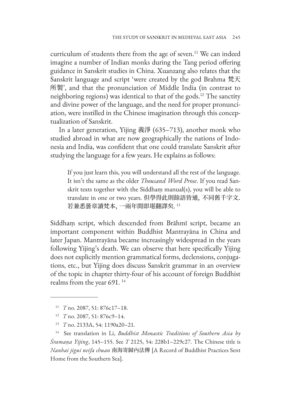curriculum of students there from the age of seven.<sup>11</sup> We can indeed imagine a number of Indian monks during the Tang period offering guidance in Sanskrit studies in China. Xuanzang also relates that the Sanskrit language and script 'were created by the god Brahma 梵天 所製', and that the pronunciation of Middle India (in contrast to neighboring regions) was identical to that of the gods.12 The sanctity and divine power of the language, and the need for proper pronunciation, were instilled in the Chinese imagination through this conceptualization of Sanskrit.

In a later generation, Yijing 義淨 (635–713), another monk who studied abroad in what are now geographically the nations of Indonesia and India, was confident that one could translate Sanskrit after studying the language for a few years. He explains as follows:

If you just learn this, you will understand all the rest of the language. It isn't the same as the older *Thousand Word Prose*. If you read Sanskrit texts together with the Siddhaṃ manual(s), you will be able to translate in one or two years. 但學得此則餘語皆通, 不同舊千字文. 若兼悉曇章讀梵本, 一兩年間即堪翻譯矣. 13

Siddhaṃ script, which descended from Brāhmī script, became an important component within Buddhist Mantrayāna in China and later Japan. Mantrayāna became increasingly widespread in the years following Yijing's death. We can observe that here specifically Yijing does not explicitly mention grammatical forms, declensions, conjugations, etc., but Yijing does discuss Sanskrit grammar in an overview of the topic in chapter thirty-four of his account of foreign Buddhist realms from the year 691.<sup>14</sup>

<sup>11</sup> *T* no. 2087, 51: 876c17–18.

<sup>12</sup> *T* no. 2087, 51: 876c9–14.

<sup>13</sup> *T* no. 2133A, 54: 1190a20–21.

<sup>14</sup> See translation in Li, *Buddhist Monastic Traditions of Southern Asia by Śramaṇa Yijing*, 145–155. See *T* 2125, 54: 228b1–229c27. The Chinese title is *Nanhai jigui neifa chuan* 南海寄歸內法傳 [A Record of Buddhist Practices Sent Home from the Southern Sea].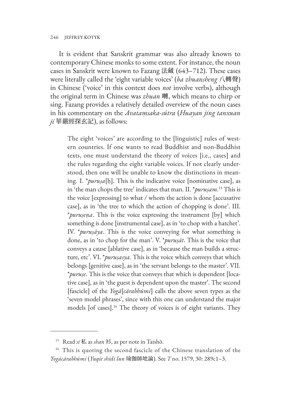It is evident that Sanskrit grammar was also already known to contemporary Chinese monks to some extent. For instance, the noun cases in Sanskrit were known to Fazang 法藏 (643–712). These cases were literally called the 'eight variable voices' (*ba zhuansheng* 八轉聲) in Chinese ('voice' in this context does *not* involve verbs), although the original term in Chinese was *zhuan* 囀, which means to chirp or sing. Fazang provides a relatively detailed overview of the noun cases in his commentary on the *Avataṃsaka-sūtra* (*Huayan jing tanxuan*   $ji$  華嚴經探玄記), as follows:

The eight 'voices' are according to the [linguistic] rules of western countries. If one wants to read Buddhist and non-Buddhist texts, one must understand the theory of voices [i.e., cases] and the rules regarding the eight variable voices. If not clearly understood, then one will be unable to know the distinctions in meaning. I. \**puruṣa*[ḥ]. This is the indicative voice [nominative case], as in 'the man chops the tree' indicates that man. II. \**puruṣam*. 15 This is the voice [expressing] to what / whom the action is done [accusative case], as in 'the tree to which the action of chopping is done'. III. \**puruṣeṇa*. This is the voice expressing the instrument [by] which something is done [instrumental case], as in 'to chop with a hatchet'. IV. \**puruṣāya*. This is the voice conveying for what something is done, as in 'to chop for the man'. V. \**puruṣāt*. This is the voice that conveys a cause [ablative case], as in 'because the man builds a structure, etc'. VI. \**puruṣasya*. This is the voice which conveys that which belongs [genitive case], as in 'the servant belongs to the master'. VII. \**puruṣe*. This is the voice that conveys that which is dependent [locative case], as in 'the guest is dependent upon the master'. The second [fascicle] of the *Yogā*[*cārabhūmi*] calls the above seven types as the 'seven model phrases', since with this one can understand the major models [of cases].<sup>16</sup> The theory of voices is of eight variants. They

<sup>15</sup> Read *si* 私 as *shan* 衫, as per note in Taishō.

<sup>&</sup>lt;sup>16</sup> This is quoting the second fascicle of the Chinese translation of the *Yogācārabhūmi* (*Yuqie shidi lun* 瑜伽師地論). See *T* no. 1579, 30: 289c1–3.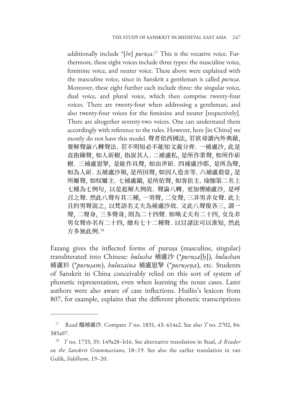additionally include \*[*he*] *puruṣa*. 17 This is the vocative voice. Furthermore, these eight voices include three types: the masculine voice, feminine voice, and neuter voice. These above were explained with the masculine voice, since in Sanskrit a gentleman is called *puruṣa*. Moreover, these eight further each include three: the singular voice, dual voice, and plural voice, which then comprise twenty-four voices. There are twenty-four when addressing a gentleman, and also twenty-four voices for the feminine and neuter [respectively]. There are altogether seventy-two voices. One can understand them accordingly with reference to the rules. However, here [in China] we mostly do not have this model. 聲者依西國法, 若欲尋讀內外典藉, 要解聲論八轉聲法. 若不明知必不能知文義分齊. 一補盧沙, 此是 直指陳聲, 如人斫樹, 指說其人. 二補盧私, 是所作業聲, 如所作斫 樹. 三補盧崽拏, 是能作具聲, 如由斧斫. 四補盧沙耶, 是所為聲, 如為人斫. 五補盧沙䫂, 是所因聲, 如因人造舍等. 六補盧殺娑, 是 所屬聲, 如奴屬主. 七補盧鎩, 是所依聲, 如客依主. 瑜伽第二名上 七種為七例句, 以是起解大例故. 聲論八轉, 更加偰補盧沙, 是呼 召之聲. 然此八聲有其三種, 一男聲, 二女聲, 三非男非女聲. 此上 且約男聲說之, 以梵語名丈夫為補盧沙故. 又此八聲復各三, 謂一 聲, 二聲身, 三多聲身, 則為二十四聲. 如喚丈夫有二十四, 女及非 男女聲亦名有二十四, 總有七十二種聲. 以目諸法可以准知, 然此 方多無此例.<sup>18</sup>

Fazang gives the inflected forms of puruṣa (masculine, singular) transliterated into Chinese: *bulusha* 補盧沙 (\**puruṣa*[ḥ]), *bulushan* 補盧衫 (\**puruṣam*), *buluzaina* 補盧崽拏 (\**puruṣeṇa*), etc. Students of Sanskrit in China conceivably relied on this sort of system of phonetic representation, even when learning the noun cases. Later authors were also aware of case inflections. Huilin's lexicon from 807, for example, explains that the different phonetic transcriptions

<sup>17</sup> Read 醯補盧沙. Compare *T* no. 1831, 43: 614a2. See also *T* no. 2702, 84: 385a07.

<sup>18</sup> *T* no. 1733, 35: 149a28–b16. See alternative translation in Staal, *A Reader on the Sanskrit Grammarian*s, 18–19. See also the earlier translation in van Gulik, *Siddham*, 19–20.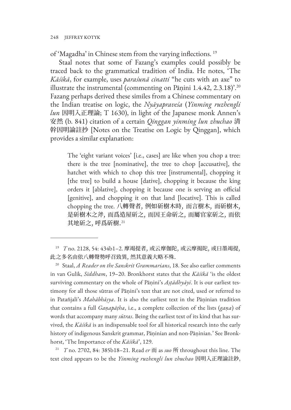of 'Magadha' in Chinese stem from the varying inflections. <sup>19</sup>

Staal notes that some of Fazang's examples could possibly be traced back to the grammatical tradition of India. He notes, 'The *Kāśikā*, for example, uses *paraśunā cinatti* "he cuts with an axe" to illustrate the instrumental (commenting on Pāṇini 1.4.42, 2.3.18)'.<sup>20</sup> Fazang perhaps derived these similes from a Chinese commentary on the Indian treatise on logic, the *Nyāyapraveśa* (*Yinming ruzhengli lun* 因明入正理論; T 1630), in light of the Japanese monk Annen's 安然 (b. 841) citation of a certain *Qinggan yinming lun zhuchao* 清 幹因明論註抄 [Notes on the Treatise on Logic by Qinggan], which provides a similar explanation:

The 'eight variant voices' [i.e., cases] are like when you chop a tree: there is the tree [nominative], the tree to chop [accusative], the hatchet with which to chop this tree [instrumental], chopping it [the tree] to build a house [dative], chopping it because the king orders it [ablative], chopping it because one is serving an official [genitive], and chopping it on that land [locative]. This is called chopping the tree. 八轉聲者, 例如斫樹木時, 而言樹木, 而斫樹木, 是斫樹木之斧, 而爲造屋斫之, 而因王命斫之, 而屬官家斫之, 而依 其地斫之, 呼爲斫樹.<sup>21</sup>

21 *T* no. 2702, 84: 385b18–21. Read *er* 而 as *suo* 所 throughout this line. The text cited appears to be the *Yinming ruzhengli lun zhuchao* 因明入正理論註鈔,

<sup>19</sup> *T* no. 2128, 54: 434b1–2. 摩竭提者, 或云摩伽陀, 或云摩揭陀, 或曰墨竭提, 此之多名由依八轉聲勢呼召致異, 然其意義大略不殊.

<sup>&</sup>lt;sup>20</sup> Staal, *A Reader on the Sanskrit Grammarians*, 18. See also earlier comments in van Gulik, *Siddham*, 19–20. Bronkhorst states that the *Kāśikā* 'is the oldest surviving commentary on the whole of Pāṇini's *Aṣṭādhyāyī*. It is our earliest testimony for all those sūtras of Pāṇini's text that are not cited, used or referred to in Patañjali's *Mahābhāṣya*. It is also the earliest text in the Pāṇinian tradition that contains a full *Gaṇapāṭha*, i.e., a complete collection of the lists (*gaṇa*) of words that accompany many *sūtras*. Being the earliest text of its kind that has survived, the *Kāśikā* is an indispensable tool for all historical research into the early history of indigenous Sanskrit grammar, Pāṇinian and non-Pāṇinian.' See Bronkhorst, 'The Importance of the *Kāśikā*', 129.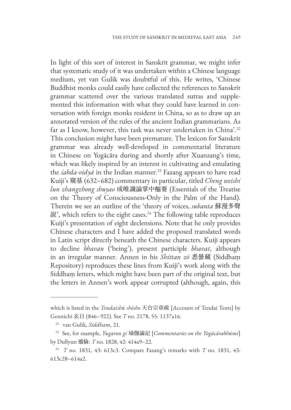In light of this sort of interest in Sanskrit grammar, we might infer that systematic study of it was undertaken within a Chinese language medium, yet van Gulik was doubtful of this. He writes, 'Chinese Buddhist monks could easily have collected the references to Sanskrit grammar scattered over the various translated sutras and supplemented this information with what they could have learned in conversation with foreign monks resident in China, so as to draw up an annotated version of the rules of the ancient Indian grammarians. As far as I know, however, this task was never undertaken in China'.<sup>22</sup> This conclusion might have been premature. The lexicon for Sanskrit grammar was already well-developed in commentarial literature in Chinese on Yogācāra during and shortly after Xuanzang's time, which was likely inspired by an interest in cultivating and emulating the *śabda-vidyā* in the Indian manner.<sup>23</sup> Fazang appears to have read Kuiji's 窺基 (632–682) commentary in particular, titled *Cheng weishi lun zhangzhong shuyao* 成唯識論掌中樞要 (Essentials of the Treatise on the Theory of Consciousness-Only in the Palm of the Hand). Therein we see an outline of the 'theory of voices, *subanta* 蘇漫多聲 說', which refers to the eight cases.<sup>24</sup> The following table reproduces Kuiji's presentation of eight declensions. Note that he only provides Chinese characters and I have added the proposed translated words in Latin script directly beneath the Chinese characters. Kuiji appears to decline *bhavan* ('being'), present participle *bhavat*, although in an irregular manner. Annen in his *Shittan zō* 悉曇藏 (Siddhaṃ Repository) reproduces these lines from Kuiji's work along with the Siddhaṃ letters, which might have been part of the original text, but the letters in Annen's work appear corrupted (although, again, this

which is listed in the *Tendaishū shōsho* 天台宗章疏 [Account of Tendai Texts] by Gennichi 玄日 (846–922). See *T* no. 2178, 55: 1137a16.

<sup>22</sup> van Gulik, *Siddham*, 21.

<sup>23</sup>See, for example, *Yugaron gi* 瑜伽論記 [*Commentaries on the Yogācārabhūmi*] by Dullyun 遁倫: *T* no. 1828, 42: 414a9–22.

<sup>24</sup> *T* no. 1831, 43: 613c3. Compare Fazang's remarks with *T* no. 1831, 43: 613c28–614a2.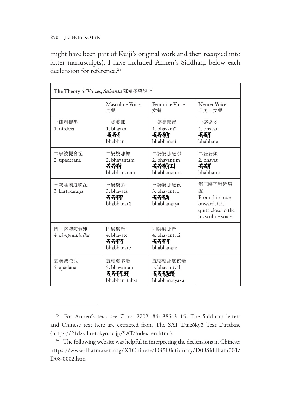#### 250 JEFFREY KOTYK

might have been part of Kuiji's original work and then recopied into latter manuscripts). I have included Annen's Siddhaṃ below each declension for reference.<sup>25</sup>

| The Theory of Voices, Subanta 蘇漫多聲說 <sup>26</sup> |                                                 |                                                   |                                                                                            |
|---------------------------------------------------|-------------------------------------------------|---------------------------------------------------|--------------------------------------------------------------------------------------------|
|                                                   | Masculine Voice<br>男聲                           | Feminine Voice<br>女聲                              | Neuter Voice<br>非男非女聲                                                                      |
| 一儞利提勢<br>1. nirdeśa                               | 一婆婆那<br>1. bhavan<br>रुरुन<br>bhabhana          | 一婆婆那帝<br>1. bhavantī<br>ৰৰৰণ<br>bhabhanati        | 一婆婆多<br>1. bhavat<br>रुरुन<br>hhabhata                                                     |
| 二鄔波提舍泥<br>2. upadeśana                            | 二婆婆那擔<br>2. bhavantam<br>そそぞう<br>bhabhanatam    | 二婆婆那底摩<br>2. bhavantīm<br>ননৰ্বম<br>bhabhanatima  | 二婆婆須<br>2. bhavat<br>र्नना<br>bhabhatta                                                    |
| 三羯咥唎迦囉泥<br>3. kartrkarana                         | 三婆婆多<br>3. bhavatā<br>ননৰক<br>bhabhanatā        | 三婆婆那底夜<br>3. bhavantyā<br>ৰ বৰ্ষ<br>bhabhanatya   | 第三囀下稍近男<br>聲<br>From third case<br>onward, it is<br>quite close to the<br>masculine voice. |
| 四三鉢囉陀儞雞<br>4. sāmpradānika                        | 四婆婆羝<br>4. bhavate<br>ৰ বৰণ<br>bhabhanate       | 四婆婆那帶<br>4. bhavantyai<br>ননৰণ<br>bhabhanate      |                                                                                            |
| 五褒波陀泥<br>5. apādāna                               | 五婆婆多褒<br>5. bhavantah<br>そそそうだ<br>bhabhanatah-ā | 五婆婆那底夜褒<br>5. bhavantyāḥ<br>れいか<br>bhabhanatya- ā |                                                                                            |

<sup>25</sup> For Annen's text, see *T* no. 2702, 84: 385a3–15. The Siddhaṃ letters and Chinese text here are extracted from The SAT Daizōkyō Text Database (https://21dzk.l.u-tokyo.ac.jp/SAT/index\_en.html).

<sup>&</sup>lt;sup>26</sup> The following website was helpful in interpreting the declensions in Chinese: https://www.dharmazen.org/X1Chinese/D45Dictionary/D08Siddham001/ D08-0002.htm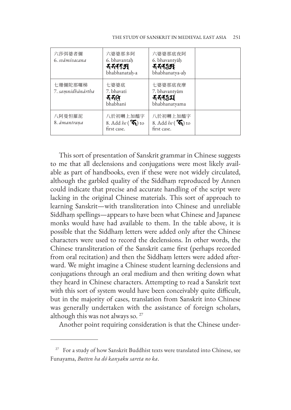| 六莎弭婆者儞<br>6. svāmivacana     | 六婆婆那多阿<br>6. bhavantah<br><b>そそそうだい</b><br>bhabhanatah-a  | 六婆婆那底夜阿<br>6. bhavantyāh<br>bhabhanatya-aḥ             |  |
|------------------------------|-----------------------------------------------------------|--------------------------------------------------------|--|
| 七珊儞陀那囉梯<br>7. samnidhānārtha | 七婆婆底<br>7. bhavati<br>र्नन(न<br>hhabhani                  | 七婆婆那底夜摩<br>7. bhavantyām<br>ননৰ্যম<br>bhabhanatyama    |  |
| 八阿曼怛羅泥<br>8. āmantrana       | 八於初囀上加醯字<br>8. Add be $(\mathcal{F}_1)$ to<br>first case. | 八於初囀上加醯字<br>8. Add be $(\mathbf{K})$ to<br>first case. |  |

This sort of presentation of Sanskrit grammar in Chinese suggests to me that all declensions and conjugations were most likely available as part of handbooks, even if these were not widely circulated, although the garbled quality of the Siddhaṃ reproduced by Annen could indicate that precise and accurate handling of the script were lacking in the original Chinese materials. This sort of approach to learning Sanskrit—with transliteration into Chinese and unreliable Siddhaṃ spellings—appears to have been what Chinese and Japanese monks would have had available to them. In the table above, it is possible that the Siddhaṃ letters were added only after the Chinese characters were used to record the declensions. In other words, the Chinese transliteration of the Sanskrit came first (perhaps recorded from oral recitation) and then the Siddhaṃ letters were added afterward. We might imagine a Chinese student learning declensions and conjugations through an oral medium and then writing down what they heard in Chinese characters. Attempting to read a Sanskrit text with this sort of system would have been conceivably quite difficult, but in the majority of cases, translation from Sanskrit into Chinese was generally undertaken with the assistance of foreign scholars, although this was not always so. <sup>27</sup>

Another point requiring consideration is that the Chinese under-

<sup>&</sup>lt;sup>27</sup> For a study of how Sanskrit Buddhist texts were translated into Chinese, see Funayama, *Butten ha dō kanyaku sareta no ka*.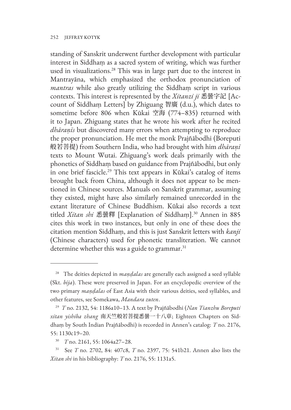#### 252 JEFFREY KOTYK

standing of Sanskrit underwent further development with particular interest in Siddhaṃ as a sacred system of writing, which was further used in visualizations.<sup>28</sup> This was in large part due to the interest in Mantrayāna, which emphasized the orthodox pronunciation of *mantras* while also greatly utilizing the Siddhaṃ script in various contexts. This interest is represented by the *Xitanzi ji* 悉曇字記 [Account of Siddhaṃ Letters] by Zhiguang 智廣 (d.u.), which dates to sometime before 806 when Kūkai 空海 (774–835) returned with it to Japan. Zhiguang states that he wrote his work after he recited *dhāraṇīs* but discovered many errors when attempting to reproduce the proper pronunciation. He met the monk Prajñābodhi (Boreputi 般若菩提) from Southern India, who had brought with him *dhāraṇī* texts to Mount Wutai. Zhiguang's work deals primarily with the phonetics of Siddhaṃ based on guidance from Prajñābodhi, but only in one brief fascicle.<sup>29</sup> This text appears in Kūkai's catalog of items brought back from China, although it does not appear to be mentioned in Chinese sources. Manuals on Sanskrit grammar, assuming they existed, might have also similarly remained unrecorded in the extant literature of Chinese Buddhism. Kūkai also records a text titled *Xitan shi* 悉曇釋 [Explanation of Siddhaṃ].<sup>30</sup> Annen in 885 cites this work in two instances, but only in one of these does the citation mention Siddhaṃ, and this is just Sanskrit letters with *kanji* (Chinese characters) used for phonetic transliteration. We cannot determine whether this was a guide to grammar.<sup>31</sup>

<sup>28</sup> The deities depicted in *maṇḍalas* are generally each assigned a seed syllable (Skt. *bīja*). These were preserved in Japan. For an encyclopedic overview of the two primary *maṇḍalas* of East Asia with their various deities, seed syllables, and other features, see Somekawa, *Mandara zuten*.

<sup>29</sup> *T* no. 2132, 54: 1186a10–13. A text by Prajñābodhi (*Nan Tianzhu Boreputi xitan yishiba zhang* 南天竺般若菩提悉曇一十八章; Eighteen Chapters on Siddhaṃ by South Indian Prajñābodhi) is recorded in Annen's catalog: *T* no. 2176, 55: 1130c19–20.

<sup>30</sup> *T* no. 2161, 55: 1064a27–28.

<sup>31</sup> See *T* no. 2702, 84: 407c8, *T* no. 2397, 75: 541b21. Annen also lists the *Xitan shi* in his bibliography: *T* no. 2176, 55: 1131a5.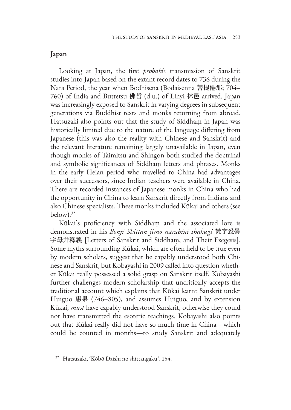#### **Japan**

Looking at Japan, the first *probable* transmission of Sanskrit studies into Japan based on the extant record dates to 736 during the Nara Period, the year when Bodhisena (Bodaisenna 菩提僊那; 704– 760) of India and Buttetsu 佛哲 (d.u.) of Linyi 林邑 arrived. Japan was increasingly exposed to Sanskrit in varying degrees in subsequent generations via Buddhist texts and monks returning from abroad. Hatsuzaki also points out that the study of Siddhaṃ in Japan was historically limited due to the nature of the language differing from Japanese (this was also the reality with Chinese and Sanskrit) and the relevant literature remaining largely unavailable in Japan, even though monks of Taimitsu and Shingon both studied the doctrinal and symbolic significances of Siddhaṃ letters and phrases. Monks in the early Heian period who travelled to China had advantages over their successors, since Indian teachers were available in China. There are recorded instances of Japanese monks in China who had the opportunity in China to learn Sanskrit directly from Indians and also Chinese specialists. These monks included Kūkai and others (see below).32

Kūkai's proficiency with Siddhaṃ and the associated lore is demonstrated in his *Bonji Shittan jimo narabini shakugi* 梵字悉曇 字母并釋義 [Letters of Sanskrit and Siddhaṃ, and Their Exegesis]. Some myths surrounding Kūkai, which are often held to be true even by modern scholars, suggest that he capably understood both Chinese and Sanskrit, but Kobayashi in 2009 called into question whether Kūkai really possessed a solid grasp on Sanskrit itself. Kobayashi further challenges modern scholarship that uncritically accepts the traditional account which explains that Kūkai learnt Sanskrit under Huiguo 惠果 (746–805), and assumes Huiguo, and by extension Kūkai, *must* have capably understood Sanskrit, otherwise they could not have transmitted the esoteric teachings. Kobayashi also points out that Kūkai really did not have so much time in China—which could be counted in months—to study Sanskrit and adequately

<sup>32</sup> Hatsuzaki, 'Kōbō Daishi no shittangaku', 154.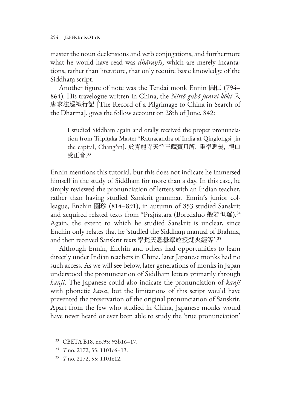master the noun declensions and verb conjugations, and furthermore what he would have read was *dhāraṇīs*, which are merely incantations, rather than literature, that only require basic knowledge of the Siddhaṃ script.

Another figure of note was the Tendai monk Ennin 圓仁 (794– 864). His travelogue written in China, the *Nittō guhō junrei kōki* 入 唐求法巡禮行記 [The Record of a Pilgrimage to China in Search of the Dharma], gives the follow account on 28th of June, 842:

I studied Siddhaṃ again and orally received the proper pronunciation from Tripiṭaka Master \*Ratnacandra of India at Qinglongsi [in the capital, Chang'an]. 於青龍寺天竺三藏寶月所, 重學悉曇, 親口 受正音. 33

Ennin mentions this tutorial, but this does not indicate he immersed himself in the study of Siddhaṃ for more than a day. In this case, he simply reviewed the pronunciation of letters with an Indian teacher, rather than having studied Sanskrit grammar. Ennin's junior colleague, Enchin 圓珍 (814–891), in autumn of 853 studied Sanskrit and acquired related texts from \*Prajñātara (Boredaluo 般若怛羅).<sup>34</sup> Again, the extent to which he studied Sanskrit is unclear, since Enchin only relates that he 'studied the Siddhaṃ manual of Brahma, and then received Sanskrit texts 學梵天悉曇章竝授梵夾經等'.<sup>35</sup>

Although Ennin, Enchin and others had opportunities to learn directly under Indian teachers in China, later Japanese monks had no such access. As we will see below, later generations of monks in Japan understood the pronunciation of Siddhaṃ letters primarily through *kanji*. The Japanese could also indicate the pronunciation of *kanji* with phonetic *kana*, but the limitations of this script would have prevented the preservation of the original pronunciation of Sanskrit. Apart from the few who studied in China, Japanese monks would have never heard or ever been able to study the 'true pronunciation'

<sup>33</sup> CBETA B18, no.95: 93b16–17.

<sup>34</sup> *T* no. 2172, 55: 1101c6–13.

<sup>35</sup> *T* no. 2172, 55: 1101c12.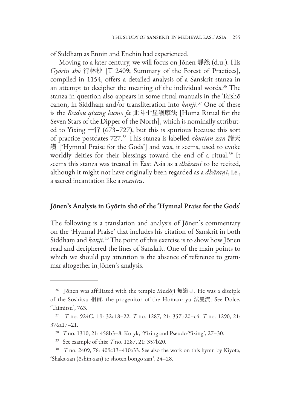of Siddhaṃ as Ennin and Enchin had experienced.

Moving to a later century, we will focus on Jōnen 靜然 (d.u.). His *Gyōrin shō* 行林抄 [T 2409; Summary of the Forest of Practices], compiled in 1154, offers a detailed analysis of a Sanskrit stanza in an attempt to decipher the meaning of the individual words.<sup>36</sup> The stanza in question also appears in some ritual manuals in the Taishō canon, in Siddhaṃ and/or transliteration into *kanji*. <sup>37</sup> One of these is the *Beidou qixing humo fa* 北斗七星護摩法 [Homa Ritual for the Seven Stars of the Dipper of the North], which is nominally attributed to Yixing  $\rightarrow$  行 (673-727), but this is spurious because this sort of practice postdates 727.38 This stanza is labelled *zhutian zan* 諸天 讚 ['Hymnal Praise for the Gods'] and was, it seems, used to evoke worldly deities for their blessings toward the end of a ritual.<sup>39</sup> It seems this stanza was treated in East Asia as a *dhāraṇī* to be recited, although it might not have originally been regarded as a *dhāraṇī*, i.e., a sacred incantation like a *mantra*.

#### **Jōnen's Analysis in Gyōrin shō of the 'Hymnal Praise for the Gods'**

The following is a translation and analysis of Jōnen's commentary on the 'Hymnal Praise' that includes his citation of Sanskrit in both Siddhaṃ and *kanji*. <sup>40</sup> The point of this exercise is to show how Jōnen read and deciphered the lines of Sanskrit. One of the main points to which we should pay attention is the absence of reference to grammar altogether in Jōnen's analysis.

<sup>36</sup> Jōnen was affiliated with the temple Mudōji 無道寺. He was a disciple of the Sōshitsu 相實, the progenitor of the Hōman-ryū 法曼流. See Dolce, 'Taimitsu', 763.

<sup>37</sup> *T* no. 924C, 19: 32c18–22. *T* no. 1287, 21: 357b20–c4. *T* no. 1290, 21: 376a17–21.

<sup>38</sup> *T* no. 1310, 21: 458b3–8. Kotyk, 'Yixing and Pseudo-Yixing', 27–30.

<sup>39</sup> See example of this: *T* no. 1287, 21: 357b20.

<sup>40</sup> *T* no. 2409, 76: 409c13–410a33. See also the work on this hymn by Kiyota, 'Shaka-zan (ōshin-zan) to shoten bongo zan', 24–28.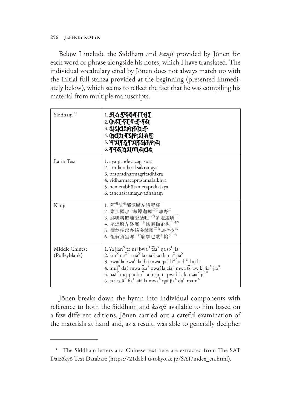256 JEFFREY KOTYK

Below I include the Siddhaṃ and *kanji* provided by Jōnen for each word or phrase alongside his notes, which I have translated. The individual vocabulary cited by Jōnen does not always match up with the initial full stanza provided at the beginning (presented immediately below), which seems to reflect the fact that he was compiling his material from multiple manuscripts.

| Siddham <sup>41</sup>           | । <b>मध्यस्वयनासर</b><br>2 <b>(हर्सरस्कन्नदम</b><br><b>3. SIGARTICA F</b><br>$4.0$ dit $7$ y $25$<br><u>s</u> প্ <b>মাত্ত্বমান্ম</b> কাধ<br><u>6 গ্</u> ৰব্ধগ্ৰম <b>া</b> নবৰ                                                                                                                                                                                                                                                                                                                                                                                                                                                       |
|---------------------------------|-------------------------------------------------------------------------------------------------------------------------------------------------------------------------------------------------------------------------------------------------------------------------------------------------------------------------------------------------------------------------------------------------------------------------------------------------------------------------------------------------------------------------------------------------------------------------------------------------------------------------------------|
| Latin Text                      | 1. ayamtudevacagasura<br>2. kindaradarakşakranaya<br>3. prapradharmagritadhikra<br>4. vidharmacapraśamaśaikhya<br>5. nemetabhūtametaprakaśaya<br>6. tanehaśramaņayadhaham                                                                                                                                                                                                                                                                                                                                                                                                                                                           |
| Kanji                           | 1. 阿 <sup>引</sup> 演 <sup>引</sup> 都泥嚩左誐素羅 <sup>一</sup><br>2. 緊那羅那 <sup>上</sup> 囉鑠迦囉 <sup>二合</sup> 那野 <sup>二</sup><br>3. 鉢囉嚩羅達磨蘖哩 <sup>二合</sup> 多地迦囉 <sup>三</sup><br>4. 尾達磨左鉢囉 <sup>二合</sup> 捨磨操企也 <sup>二合四</sup><br>5. 儞銘多部多銘多鉢羅 <sup>二合</sup> 迦捨夜 <sup>五</sup><br>6. 怛儞賀室囉 <sup>二合</sup> 麼拏也駄 <sup>引</sup> 铪 <sup>引 六</sup>                                                                                                                                                                                                                                                                                                         |
| Middle Chinese<br>(Pulleyblank) | 1. $2a$ jian $^{\rm X}$ to nej bwa $^{\rm H}$ t͡sa $^{\rm X}$ ŋa sɔ $^{\rm H}$ la<br>2. kin <sup>x</sup> na <sup>x</sup> la na <sup>x</sup> la ciak kai la na <sup>x</sup> jia <sup>x</sup><br>3. pwat la bwa <sup>H</sup> la dat mwa nat li <sup>X</sup> ta di <sup>H</sup> kai la<br>4. muj <sup>x</sup> dat mwa tsa <sup>x</sup> pwat la cia <sup>x</sup> mwa tshaw khjiš <sup>x</sup> jia <sup>x</sup><br>5. niă $^{\rm X}$ mejŋ ta bɔ $^{\rm X}$ ta mejŋ ta pwat la kai ɕia $^{\rm X}$ jia $^{\rm H}$<br>6. tať nið <sup>x</sup> ha <sup>H</sup> siť la mwa <sup>x</sup> nai jia <sup>x</sup> da <sup>H</sup> mam <sup>x</sup> |

Jōnen breaks down the hymn into individual components with reference to both the Siddhaṃ and *kanji* available to him based on a few different editions. Jōnen carried out a careful examination of the materials at hand and, as a result, was able to generally decipher

<sup>&</sup>lt;sup>41</sup> The Siddham letters and Chinese text here are extracted from The SAT Daizōkyō Text Database (https://21dzk.l.u-tokyo.ac.jp/SAT/index\_en.html).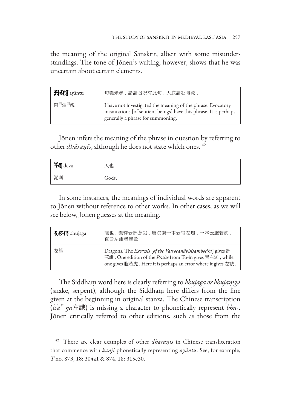the meaning of the original Sanskrit, albeit with some misunderstandings. The tone of Jōnen's writing, however, shows that he was uncertain about certain elements.

| <b>HU</b> S ayantu              | 句義未尋.諸請召呪有此句.大底請赴句歟.                                                                                                                                                   |
|---------------------------------|------------------------------------------------------------------------------------------------------------------------------------------------------------------------|
| 阿 <sup>引</sup> 演 <sup>引</sup> 覩 | I have not investigated the meaning of the phrase. Evocatory<br>incantations [of sentient beings] have this phrase. It is perhaps<br>generally a phrase for summoning. |

Jōnen infers the meaning of the phrase in question by referring to other *dhāraṇīs*, although he does not state which ones. <sup>42</sup>

| FJ deva | 天也.   |
|---------|-------|
| 泥嚩      | Gods. |

In some instances, the meanings of individual words are apparent to Jōnen without reference to other works. In other cases, as we will see below, Jōnen guesses at the meaning.

| <b>KAT</b> bhūjagā | 龍也.義釋云部惹誐.唐院讃一本云冒左迦.一本云胞若虎.<br>直云左誐者謬歟                                                                                                                                                                  |
|--------------------|---------------------------------------------------------------------------------------------------------------------------------------------------------------------------------------------------------|
| 左誐                 | Dragons. The <i>Exegesis</i> [of the Vairocanabhisambodhi] gives 部<br>惹誐. One edition of the <i>Praise</i> from Tō-in gives 胃左迦, while<br>one gives 胞若虎. Here it is perhaps an error where it gives 左誐. |

The Siddhaṃ word here is clearly referring to *bhujaga or bhujaṃga*  (snake, serpent), although the Siddhaṃ here differs from the line given at the beginning in original stanza. The Chinese transcription (*t͡sa<sup>X</sup> ŋa*左誐) is missing a character to phonetically represent *bhu*-. Jōnen critically referred to other editions, such as those from the

<sup>42</sup> There are clear examples of other *dhāraṇīs* in Chinese transliteration that commence with *kanji* phonetically representing *ayāntu*. See, for example, *T* no. 873, 18: 304a1 & 874, 18: 315c30.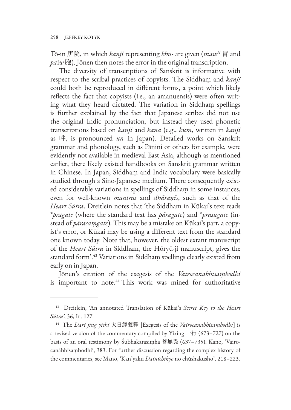Tō-in 唐院, in which *kanji* representing *bhu*- are given (maw<sup>H</sup> 冐 and *pa*ɨ*w* 胞). Jōnen then notes the error in the original transcription.

The diversity of transcriptions of Sanskrit is informative with respect to the scribal practices of copyists. The Siddhaṃ and *kanji* could both be reproduced in different forms, a point which likely reflects the fact that copyists (i.e., an amanuensis) were often writing what they heard dictated. The variation in Siddham spellings is further explained by the fact that Japanese scribes did not use the original Indic pronunciation, but instead they used phonetic transcriptions based on *kanji* and *kana* (e.g., *hūṃ*, written in *kanji* as 吽, is pronounced *un* in Japan). Detailed works on Sanskrit grammar and phonology, such as Pāṇini or others for example, were evidently not available in medieval East Asia, although as mentioned earlier, there likely existed handbooks on Sanskrit grammar written in Chinese. In Japan, Siddhaṃ and Indic vocabulary were basically studied through a Sino-Japanese medium. There consequently existed considerable variations in spellings of Siddhaṃ in some instances, even for well-known *mantras* and *dhāraṇīs*, such as that of the *Heart Sūtra*. Dreitlein notes that 'the Siddham in Kūkai's text reads \**pragate* (where the standard text has *pāragate*) and \**prasugate* (instead of *pārasaṃgate*). This may be a mistake on Kūkai's part, a copyist's error, or Kūkai may be using a different text from the standard one known today. Note that, however, the oldest extant manuscript of the *Heart Sūtra* in Siddham, the Hōryū-ji manuscript, gives the standard form'.<sup>43</sup> Variations in Siddham spellings clearly existed from early on in Japan.

Jōnen's citation of the exegesis of the *Vairocanābhisaṃbodhi* is important to note.<sup>44</sup> This work was mined for authoritative

<sup>43</sup> Dreitlein, 'An annotated Translation of Kūkai's *Secret Key to the Heart Sūtra'*, 36, fn. 127.

<sup>44</sup> The *Dari jing yishi* 大日經義釋 [Exegesis of the *Vairocanābhisaṃbodhi*] is a revised version of the commentary compiled by Yixing 一行 (673–727) on the basis of an oral testimony by Śubhakarasiṃha 善無畏 (637–735). Kano, 'Vairocanābhisaṃbodhi', 383. For further discussion regarding the complex history of the commentaries, see Mano, 'Kan'yaku *Dainichikyō* no chūshakusho', 218–223.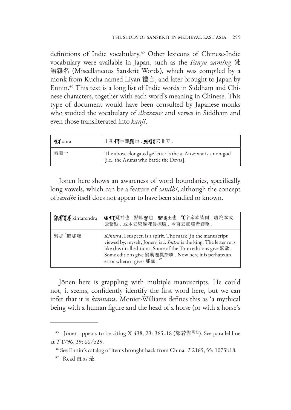definitions of Indic vocabulary.<sup>45</sup> Other lexicons of Chinese-Indic vocabulary were available in Japan, such as the *Fanyu zaming* 梵 語雜名 (Miscellaneous Sanskrit Words), which was compiled by a monk from Kucha named Liyan 禮言, and later brought to Japan by Ennin.46 This text is a long list of Indic words in Siddhaṃ and Chinese characters, together with each word's meaning in Chinese. This type of document would have been consulted by Japanese monks who studied the vocabulary of *dhāraṇīs* and verses in Siddhaṃ and even those transliterated into *kanji*.

| सु¶ sura | 上引打字即刃也 . 刃刃【云非天 .                                                                                        |
|----------|-----------------------------------------------------------------------------------------------------------|
| 素囉一      | The above elongated ga letter is the a. An asura is a non-god<br>[i.e., the Asuras who battle the Devas]. |

Jōnen here shows an awareness of word boundaries, specifically long vowels, which can be a feature of *sandhi*, although the concept of *sandhi* itself does not appear to have been studied or known.

| <b>MTLE</b> kintarendra | 6.1【疑神也 .點即\$P也 . \$P\$王也 . 【字衆本皆爾 . 唐院本或<br>云緊駄. 或本云緊曩哩曩捺囉. 今直云那羅者謬歟.                                                                                                                                                                                                                        |
|-------------------------|-----------------------------------------------------------------------------------------------------------------------------------------------------------------------------------------------------------------------------------------------------------------------------------------------|
| 緊那「羅那囉                  | Kintara, I suspect, is a spirit. The mark [in the manuscript<br>viewed by, myself, Jōnen] is i. Indra is the king. The letter re is<br>like this in all editions. Some of the Tō-in editions give 緊駄.<br>Some editions give 緊曩哩曩捺囉 . Now here it is perhaps an<br>error where it gives 那羅. 47 |

Jōnen here is grappling with multiple manuscripts. He could not, it seems, confidently identify the first word here, but we can infer that it is *kiṃnara*. Monier-Williams defines this as 'a mythical being with a human figure and the head of a horse (or with a horse's

<sup>&</sup>lt;sup>45</sup> Jōnen appears to be citing X 438, 23: 365c18 (部若伽<sup>龍也</sup>). See parallel line at *T* 1796, 39: 667b25.

<sup>46</sup> See Ennin's catalog of items brought back from China: *T* 2165, 55: 1075b18.

<sup>47</sup> Read 直 as 是.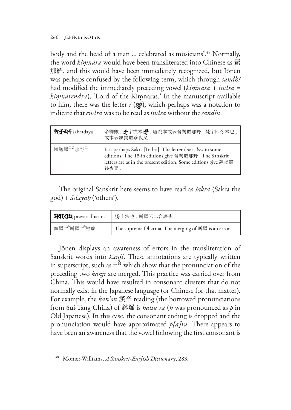260 JEFFREY KOTYK

body and the head of a man … celebrated as musicians'.48 Normally, the word *kiṃnara* would have been transliterated into Chinese as 緊 那羅, and this would have been immediately recognized, but Jōnen was perhaps confused by the following term, which through *sandhi* had modified the immediately preceding vowel (*kiṃnara* + *indra* = *kiṃnarendra*), 'Lord of the Kiṃnaras.' In the manuscript available to him, there was the letter  $i$  ( $\circledcirc$ ), which perhaps was a notation to indicate that *endra* was to be read as *indra* without the *sandhi*.

| <b>পর্ক্-ম্বর্দ</b> śakradaya     | 帝釋歟. <<br>奇跡本<br>香院本或云舍羯羅那野. 梵字即今本也,<br>或本云鑠掲羅跢夜叉.                                                                                                                                           |
|-----------------------------------|----------------------------------------------------------------------------------------------------------------------------------------------------------------------------------------------|
| 鑠迦羅 <sup>二合</sup> 那野 <sup>二</sup> | It is perhaps Śakra [Indra]. The letter kra is krā in some<br>editions. The Tō-in editions give 舍羯羅那野. The Sanskrit<br>letters are as in the present edition. Some editions give 鑠掲羅<br>跢夜叉. |

The original Sanskrit here seems to have read as *śakra* (Śakra the god) + *ādayaḥ* ('others').

| <b>HIIIH</b> pravaradharma           | 勝上法也 . 嚩羅云二合謬也 .                                   |
|--------------------------------------|----------------------------------------------------|
| 鉢羅 <sup>二合</sup> 嚩羅 <sup>二合</sup> 達麼 | The supreme Dharma. The merging of 嚩羅 is an error. |

Jōnen displays an awareness of errors in the transliteration of Sanskrit words into *kanji*. These annotations are typically written in superscript, such as  $\frac{1}{n}$  which show that the pronunciation of the preceding two *kanji* are merged. This practice was carried over from China. This would have resulted in consonant clusters that do not normally exist in the Japanese language (or Chinese for that matter). For example, the *kan'on* 漢音 reading (the borrowed pronunciations from Sui-Tang China) of 鉢羅 is *hatsu ra* (*h* was pronounced as *p* in Old Japanese). In this case, the consonant ending is dropped and the pronunciation would have approximated *p[a]ra.* There appears to have been an awareness that the vowel following the first consonant is

<sup>48</sup> Monier-Williams, *A Sanskrit-English Dictionary*, 283.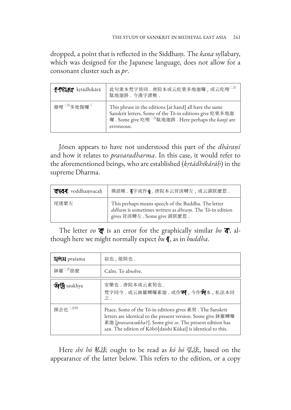dropped, a point that is reflected in the Siddhaṃ. The *kana* syllabary, which was designed for the Japanese language, does not allow for a consonant cluster such as *pr*.

| <b><i>FTCIAT</i></b> krtādhikārā   | 此句衆本梵字皆同. 唐院本或云紇栗多地迦囉, 或云吃哩 <sup>二合</sup><br>駄地迦路,今漢字謬歟,                                                                                                                                           |
|------------------------------------|----------------------------------------------------------------------------------------------------------------------------------------------------------------------------------------------------|
| 蘖哩 <sup>二合</sup> 多地伽囉 <sup>三</sup> | This phrase in the editions [at hand] all have the same<br>Sanskrit letters. Some of the Tō-in editions give 紇栗多地迦<br>囉. Some give 吃哩 <sup>二合</sup> 駄地迦跢. Here perhaps the kanji are<br>erroneous. |

Jōnen appears to have not understood this part of the *dhāraṇī* and how it relates to *pravaradharma*. In this case, it would refer to the aforementioned beings, who are established (*kṛtādhikārāḥ*) in the supreme Dharma.

| श <b>द्धवदः</b> voddhamvacah | 佛語歟.《字或作。】. 唐院本云冐淡嚩左,或云謨朕麼惹.                                                                                                                 |
|------------------------------|----------------------------------------------------------------------------------------------------------------------------------------------|
| 尾達麼左                         | This perhaps means speech of the Buddha. The letter<br>ddham is sometimes written as dhvam. The Tō-in edition<br>gives 冒淡嚩左. Some give 謨朕麼惹. |

The letter *vo*  $\mathbf{\mathcal{F}}$  is an error for the graphically similar *bo*  $\mathbf{\mathcal{F}}$ , although here we might normally expect bu  $\P$ , as in *buddha*.

| <b>HMI praśama</b>  | 寂也,能除也.                                                                                                                                                                                                                                               |
|---------------------|-------------------------------------------------------------------------------------------------------------------------------------------------------------------------------------------------------------------------------------------------------|
| 鉢羅 <sup>二合</sup> 捨麼 | Calm. To absolve.                                                                                                                                                                                                                                     |
| <b>Will saukhya</b> | 安樂也.唐院本或云素契也.<br>梵字同今. 或云鉢羅嚩囉素迦. 或作别, 今作别本, 私法本同<br>$\overline{z}$ .                                                                                                                                                                                  |
| 操企也 <sup>二合四</sup>  | Peace. Some of the Tō-in editions gives 素契. The Sanskrit<br>letters are identical to the present version. Some give 鉢羅嚩囉<br>素迦 [pravarasukha?]. Some give so. The present edition has<br>sau. The edition of Kōbō[daishi Kūkai] is identical to this. |

Here *shi hō* 私法 ought to be read as *kō bō* 弘法, based on the appearance of the latter below. This refers to the edition, or a copy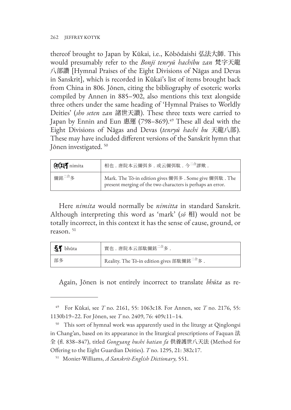thereof brought to Japan by Kūkai, i.e., Kōbōdaishi 弘法大師. This would presumably refer to the *Bonji tenryū hachibu zan* 梵字天龍 八部讚 [Hymnal Praises of the Eight Divisions of Nāgas and Devas in Sanskrit], which is recorded in Kūkai's list of items brought back from China in 806. Jōnen, citing the bibliography of esoteric works compiled by Annen in 885–902, also mentions this text alongside three others under the same heading of 'Hymnal Praises to Worldly Deities' (*sho seten zan* 諸世天讃). These three texts were carried to Japan by Ennin and Eun 惠運 (798–869).<sup>49</sup> These all deal with the Eight Divisions of Nāgas and Devas (*tenryū hachi bu* 天龍八部). These may have included different versions of the Sanskrit hymn that Jōnen investigated. <sup>50</sup>

| GCHT nimita        | 相也 . 唐院本云儞弭多 . 或云儞弭駄 . 今 <sup>二合</sup> 謬歟 .                                                                           |
|--------------------|-----------------------------------------------------------------------------------------------------------------------|
| 儞銘 <sup>二合</sup> 多 | Mark. The Tō-in edition gives 儞弭多 . Some give 儞弭駄 . The<br>present merging of the two characters is perhaps an error. |

Here *nimita* would normally be *nimitta* in standard Sanskrit. Although interpreting this word as 'mark' (*sō* 相) would not be totally incorrect, in this context it has the sense of cause, ground, or reason. 51

| 51 bhūta | 實也.唐院本云部駄儞銘 <sup>二合</sup> 多                             |
|----------|---------------------------------------------------------|
| 部多       | Reality. The Tō-in edition gives 部駄儞銘 <sup>二合</sup> 多 . |

Again, Jōnen is not entirely incorrect to translate *bhūta* as re-

<sup>49</sup> For Kūkai, see *T* no. 2161, 55: 1063c18. For Annen, see *T* no. 2176, 55: 1130b19–22. For Jōnen, see *T* no. 2409, 76: 409c11–14.

<sup>&</sup>lt;sup>50</sup> This sort of hymnal work was apparently used in the liturgy at Qinglongsi in Chang'an, based on its appearance in the liturgical prescriptions of Faquan 法 全 (fl. 838–847), titled *Gongyang hushi batian fa* 供養護世八天法 (Method for Offering to the Eight Guardian Deities). *T* no. 1295, 21: 382c17.

<sup>51</sup> Monier-Williams, *A Sanskrit-English Dictionary,* 551.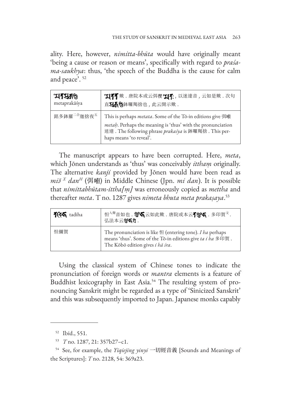ality. Here, however, *nimitta-bhūta* would have originally meant 'being a cause or reason or means', specifically with regard to *praśama-saukhya*: thus, 'the speech of the Buddha is the cause for calm and peace'. <sup>52</sup>

| <b>ARRIK</b>                        | <b>"工有了</b> 歟. 唐院本或云弭 <b>偰 "工有</b> , 以迷達音, 云如是歟. 次句                                                                                                                                                                          |
|-------------------------------------|------------------------------------------------------------------------------------------------------------------------------------------------------------------------------------------------------------------------------|
| metaprakāśya                        | 直35个90鉢囉羯捨也,此云開示歟.                                                                                                                                                                                                           |
| 銘多鉢羅 <sup>二合</sup> 迦捨夜 <sup>五</sup> | This is perhaps <i>metata</i> . Some of the Tō-in editions give 弭 <b>唨</b><br>metah. Perhaps the meaning is 'thus' with the pronunciation<br>迷達. The following phrase prakasya is 鉢囉羯捨. This per-<br>haps means 'to reveal'. |

The manuscript appears to have been corrupted. Here, *meta*, which Jōnen understands as 'thus' was conceivably *itthaṃ* originally. The alternative *kanji* provided by Jōnen would have been read as *miə̆ <sup>X</sup> danH* (弭 ) in Middle Chinese (Jpn. *mi dan*). It is possible that *nimittabhūtam-ittha[ṃ]* was erroneously copied as *mettha* and thereafter *meta*. T no. 1287 gives *nimeta bhuta meta prakaṣaya*. 53

| <b>1346</b> tadiha | 怛 <sup>入聲</sup> 音如也. S 5 云如此歟. 唐院或本云78% 5. 多印賀 <sup>文</sup> .<br>弘法本云&%459.                                                                                             |
|--------------------|-------------------------------------------------------------------------------------------------------------------------------------------------------------------------|
| 怛儞賀                | The pronunciation is like $\mathfrak b$ (entering tone). I ha perhaps<br>means 'thus'. Some of the Tō-in editions give ta i ha 多印賀.<br>The Kōbō edition gives i hā śra. |

Using the classical system of Chinese tones to indicate the pronunciation of foreign words or *mantra* elements is a feature of Buddhist lexicography in East Asia.<sup>54</sup> The resulting system of pronouncing Sanskrit might be regarded as a type of 'Sinicized Sanskrit' and this was subsequently imported to Japan. Japanese monks capably

<sup>52</sup> Ibid., 551.

<sup>53</sup> *T* no. 1287, 21: 357b27–c1.

<sup>54</sup> See, for example, the *Yiqiejing yinyi* 一切經音義 [Sounds and Meanings of the Scriptures]: *T* no. 2128, 54: 369a23.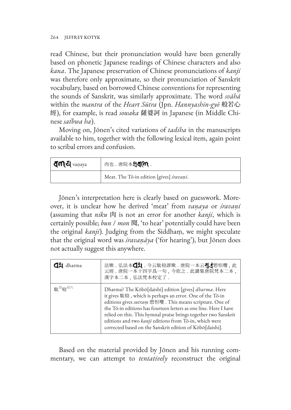read Chinese, but their pronunciation would have been generally based on phonetic Japanese readings of Chinese characters and also *kana*. The Japanese preservation of Chinese pronunciations of *kanji* was therefore only approximate, so their pronunciation of Sanskrit vocabulary, based on borrowed Chinese conventions for representing the sounds of Sanskrit, was similarly approximate. The word *svāhā* within the *mantra* of the *Heart Sūtra* (Jpn. *Hannyashin-gyō* 般若心 經), for example, is read *sowaka* 薩婆訶 in Japanese (in Middle Chinese *sat̚ bwa ha*).

Moving on, Jōnen's cited variations of *tadiha* in the manuscripts available to him, together with the following lexical item, again point to scribal errors and confusion.

| <b>त्∩ा</b> ट्य <sub>vaṇaya</sub> | 肉也 . 唐院本37400.                           |
|-----------------------------------|------------------------------------------|
|                                   | Meat. The Tō-in edition [gives] śravaņi. |

Jōnen's interpretation here is clearly based on guesswork. Moreover, it is unclear how he derived 'meat' from *vaṇaya* or *śravaṇi* (assuming that *niku* 肉 is not an error for another *kanji*, which is certainly possible; *bun* / *mon* 聞, 'to hear' potentially could have been the original *kanji*). Judging from the Siddhaṃ, we might speculate that the original word was *śravaṇāya* ('for hearing'), but Jōnen does not actually suggest this anywhere.

| dharma                         | 法歟.弘法本44 .今云駄铃謬歟.唐院一本云44 .<br>云經. 唐院一本十四字爲一句, 今依之. 此讃集唐院梵本二本,<br>漢字本二本,弘法梵本校定了.                                                                                                                                                                                                                                                                                                                                                           |
|--------------------------------|-------------------------------------------------------------------------------------------------------------------------------------------------------------------------------------------------------------------------------------------------------------------------------------------------------------------------------------------------------------------------------------------------------------------------------------------|
| 駄 <sup>引</sup> 輪 <sup>引六</sup> | Dharma? The Kōbō[daishi] edition [gives] dharma. Here<br>it gives 駄铃, which is perhaps an error. One of the Tō-in<br>editions gives sutram 愬怛囕. This means scripture. One of<br>the Tō-in editions has fourteen letters as one line. Here I have<br>relied on this. This hymnal praise brings together two Sanskrit<br>editions and two kanji editions from Tō-in, which were<br>corrected based on the Sanskrit edition of Kobo[daishi]. |

Based on the material provided by Jōnen and his running commentary, we can attempt to *tentatively* reconstruct the original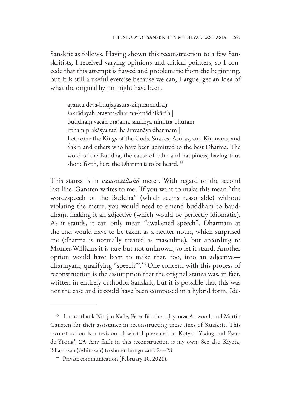Sanskrit as follows. Having shown this reconstruction to a few Sanskritists, I received varying opinions and critical pointers, so I concede that this attempt is flawed and problematic from the beginning, but it is still a useful exercise because we can, I argue, get an idea of what the original hymn might have been.

āyāntu deva-bhujagāsura-kiṃnarendrāḥ śakrādayaḥ pravara-dharma-kṛtādhikārāḥ | buddhaṃ vacaḥ praśama-saukhya-nimitta-bhūtam itthaṃ prakāśya tad iha śravaṇāya dharmam || Let come the Kings of the Gods, Snakes, Asuras, and Kiṃnaras, and Śakra and others who have been admitted to the best Dharma. The word of the Buddha, the cause of calm and happiness, having thus shone forth, here the Dharma is to be heard. <sup>55</sup>

This stanza is in *vasantatilakā* meter. With regard to the second last line, Gansten writes to me, 'If you want to make this mean "the word/speech of the Buddha" (which seems reasonable) without violating the metre, you would need to emend buddhaṃ to bauddhaṃ, making it an adjective (which would be perfectly idiomatic). As it stands, it can only mean "awakened speech". Dharmam at the end would have to be taken as a neuter noun, which surprised me (dharma is normally treated as masculine), but according to Monier-Williams it is rare but not unknown, so let it stand. Another option would have been to make that, too, into an adjective dharmyam, qualifying "speech"'.56 One concern with this process of reconstruction is the assumption that the original stanza was, in fact, written in entirely orthodox Sanskrit, but it is possible that this was not the case and it could have been composed in a hybrid form. Ide-

<sup>55</sup> I must thank Nirajan Kafle, Peter Bisschop, Jayarava Attwood, and Martin Gansten for their assistance in reconstructing these lines of Sanskrit. This reconstruction is a revision of what I presented in Kotyk, 'Yixing and Pseudo-Yixing', 29. Any fault in this reconstruction is my own. See also Kiyota, 'Shaka-zan (ōshin-zan) to shoten bongo zan', 24–28.

<sup>&</sup>lt;sup>56</sup> Private communication (February 10, 2021).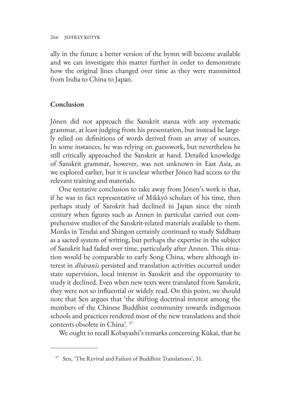ally in the future a better version of the hymn will become available and we can investigate this matter further in order to demonstrate how the original lines changed over time as they were transmitted from India to China to Japan.

#### **Conclusion**

Jōnen did not approach the Sanskrit stanza with any systematic grammar, at least judging from his presentation, but instead he largely relied on definitions of words derived from an array of sources. In some instances, he was relying on guesswork, but nevertheless he still critically approached the Sanskrit at hand. Detailed knowledge of Sanskrit grammar, however, was not unknown in East Asia, as we explored earlier, but it is unclear whether Jōnen had access to the relevant training and materials.

One tentative conclusion to take away from Jōnen's work is that, if he was in fact representative of Mikkyō scholars of his time, then perhaps study of Sanskrit had declined in Japan since the ninth century when figures such as Annen in particular carried out comprehensive studies of the Sanskrit-related materials available to them. Monks in Tendai and Shingon certainly continued to study Siddhaṃ as a sacred system of writing, but perhaps the expertise in the subject of Sanskrit had faded over time, particularly after Annen. This situation would be comparable to early Song China, where although interest in *dhāraṇīs* persisted and translation activities occurred under state supervision, local interest in Sanskrit and the opportunity to study it declined. Even when new texts were translated from Sanskrit, they were not so influential or widely read. On this point, we should note that Sen argues that 'the shifting doctrinal interest among the members of the Chinese Buddhist community towards indigenous schools and practices rendered most of the new translations and their contents obsolete in China'. 57

We ought to recall Kobayashi's remarks concerning Kūkai, that he

<sup>57</sup> Sen, 'The Revival and Failure of Buddhist Translations', 31.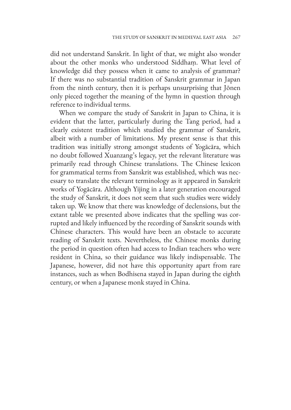did not understand Sanskrit. In light of that, we might also wonder about the other monks who understood Siddhaṃ. What level of knowledge did they possess when it came to analysis of grammar? If there was no substantial tradition of Sanskrit grammar in Japan from the ninth century, then it is perhaps unsurprising that Jōnen only pieced together the meaning of the hymn in question through reference to individual terms.

When we compare the study of Sanskrit in Japan to China, it is evident that the latter, particularly during the Tang period, had a clearly existent tradition which studied the grammar of Sanskrit, albeit with a number of limitations. My present sense is that this tradition was initially strong amongst students of Yogācāra, which no doubt followed Xuanzang's legacy, yet the relevant literature was primarily read through Chinese translations. The Chinese lexicon for grammatical terms from Sanskrit was established, which was necessary to translate the relevant terminology as it appeared in Sanskrit works of Yogācāra. Although Yijing in a later generation encouraged the study of Sanskrit, it does not seem that such studies were widely taken up. We know that there was knowledge of declensions, but the extant table we presented above indicates that the spelling was corrupted and likely influenced by the recording of Sanskrit sounds with Chinese characters. This would have been an obstacle to accurate reading of Sanskrit texts. Nevertheless, the Chinese monks during the period in question often had access to Indian teachers who were resident in China, so their guidance was likely indispensable. The Japanese, however, did not have this opportunity apart from rare instances, such as when Bodhisena stayed in Japan during the eighth century, or when a Japanese monk stayed in China.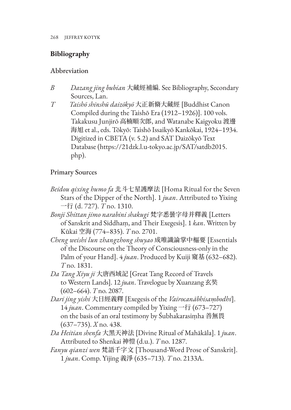# **Bibliography**

## Abbreviation

- *B Dazang jing bubian* 大藏經補編. See Bibliography, Secondary Sources, Lan.
- *T Taishō shinshū daizōkyō* 大正新脩大藏經 [Buddhist Canon Compiled during the Taishō Era (1912–1926)]. 100 vols. Takakusu Junjirō 高楠順次郎, and Watanabe Kaigyoku 渡邊 海旭 et al., eds. Tōkyō: Taishō Issaikyō Kankōkai, 1924–1934. Digitized in CBETA (v. 5.2) and SAT Daizōkyō Text Database (https://21dzk.l.u-tokyo.ac.jp/SAT/satdb2015. php).

## Primary Sources

- *Beidou qixing humo fa* 北斗七星護摩法 [Homa Ritual for the Seven Stars of the Dipper of the North]. 1 *juan*. Attributed to Yixing 一行 (d. 727). *T* no. 1310.
- *Bonji Shittan jimo narabini shakugi* 梵字悉曇字母并釋義 [Letters of Sanskrit and Siddhaṃ, and Their Exegesis]. 1 *kan*. Written by Kūkai 空海 (774–835). *T* no. 2701.
- *Cheng weishi lun zhangzhong shuyao* 成唯識論掌中樞要 [Essentials of the Discourse on the Theory of Consciousness-only in the Palm of your Hand]. 4 *juan*. Produced by Kuiji 窺基 (632–682). *T* no. 1831.
- *Da Tang Xiyu ji* 大唐西域記 [Great Tang Record of Travels to Western Lands]. 12 *juan*. Travelogue by Xuanzang 玄奘 (602–664). *T* no. 2087.
- *Dari jing yishi* 大日經義釋 [Exegesis of the *Vairocanābhisaṃbodhi*]. 14 *juan*. Commentary compiled by Yixing 一行 (673–727) on the basis of an oral testimony by Śubhakarasiṃha 善無畏 (637–735). *X* no. 438.
- *Da Heitian shenfa* 大黑天神法 [Divine Ritual of Mahākāla]. 1 *juan*. Attributed to Shenkai 神愷 (d.u.). *T* no. 1287.
- *Fanyu qianzi wen* 梵語千字文 [Thousand-Word Prose of Sanskrit]. 1 *juan*. Comp. Yijing 義淨 (635–713). *T* no. 2133A.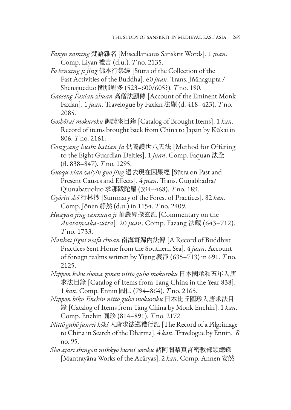- *Fanyu zaming* 梵語雜名 [Miscellaneous Sanskrit Words]. 1 *juan*. Comp. Liyan 禮言 (d.u.). *T* no. 2135.
- *Fo benxing ji jing* 佛本行集經 [Sūtra of the Collection of the Past Activities of the Buddha]. 60 *juan*. Trans. Jñānagupta / Shenajueduo 闍那崛多 (523–600/605?). *T* no. 190.
- *Gaoseng Faxian zhuan* 高僧法顯傳 [Account of the Eminent Monk Faxian]. 1 *juan*. Travelogue by Faxian 法顯 (d. 418–423). *T* no. 2085.
- *Goshōrai mokuroku* 御請來目錄 [Catalog of Brought Items]. 1 *kan*. Record of items brought back from China to Japan by Kūkai in 806. *T* no. 2161.
- *Gongyang hushi batian fa* 供養護世八天法 [Method for Offering to the Eight Guardian Deities]. 1 *juan*. Comp. Faquan 法全 (fl. 838–847). *T* no. 1295.
- *Guoqu xian zaiyin guo jing* 過去現在因果經 [Sūtra on Past and Present Causes and Effects]. 4 *juan*. Trans. Guṇabhadra/ Qiunabatuoluo 求那跋陀羅 (394–468). *T* no. 189.
- *Gyōrin shō* 行林抄 [Summary of the Forest of Practices]. 82 *kan*. Comp. Jōnen 靜然 (d.u.) in 1154. *T* no. 2409.
- *Huayan jing tanxuan ji* 華嚴經探玄記 [Commentary on the *Avataṃsaka-sūtra*]. 20 *juan*. Comp. Fazang 法藏 (643–712). *T* no. 1733.
- *Nanhai jigui neifa chuan* 南海寄歸內法傳 [A Record of Buddhist Practices Sent Home from the Southern Sea]. 4 *juan*. Account of foreign realms written by Yijing 義淨 (635–713) in 691. *T* no. 2125.
- *Nippon koku shōwa gonen nittō guhō mokuroku* 日本國承和五年入唐 求法目錄 [Catalog of Items from Tang China in the Year 838]. 1 *kan*. Comp. Ennin 圓仁 (794–864). *T* no. 2165.
- *Nippon biku Enchin nittō guhō mokuroku* 日本比丘圓珍入唐求法目 錄 [Catalog of Items from Tang China by Monk Enchin]. 1 *kan*. Comp. Enchin 圓珍 (814–891). *T* no. 2172.
- *Nittō guhō junrei kōki* 入唐求法巡禮行記 [The Record of a Pilgrimage to China in Search of the Dharma]. 4 *kan*. Travelogue by Ennin. *B*  no. 95.
- *Sho ajari shingon mikkyō burui sōroku* 諸阿闍梨真言密教部類總錄 [Mantrayāna Works of the Ācāryas]. 2 *kan*. Comp. Annen 安然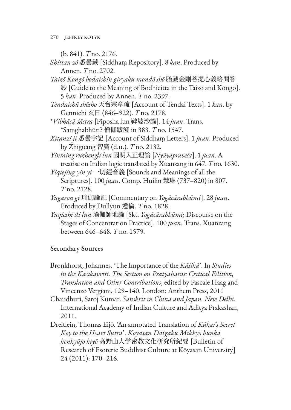(b. 841). *T* no. 2176.

- *Shittan zō* 悉曇藏 [Siddhaṃ Repository]. 8 *kan*. Produced by Annen. *T* no. 2702.
- *Taizō Kongō bodaishin giryaku mondō shō* 胎藏金剛菩提心義略問答 鈔 [Guide to the Meaning of Bodhicitta in the Taizō and Kongō]. 5 *kan*. Produced by Annen. *T* no. 2397.
- *Tendaishū shōsho* 天台宗章疏 [Account of Tendai Texts]. 1 *kan*. by Gennichi 玄日 (846–922). *T* no. 2178.
- \**Vibhāṣā-śāstra* [Piposha lun 鞞婆沙論]. 14 *juan*. Trans. \*Saṃghabhūti? 僧伽跋澄 in 383. *T* no. 1547.
- *Xitanzi ji* 悉曇字記 [Account of Siddhaṃ Letters]. 1 *juan*. Produced by Zhiguang 智廣 (d.u.). *T* no. 2132.
- *Yinming ruzhengli lun* 因明入正理論 [*Nyāyapraveśa*]. 1 *juan*. A treatise on Indian logic translated by Xuanzang in 647. *T* no. 1630.
- *Yiqiejing yin yi* 一切經音義 [Sounds and Meanings of all the Scriptures]. 100 *juan*. Comp. Huilin 慧琳 (737–820) in 807. *T* no. 2128.
- *Yugaron gi* 瑜伽論記 [Commentary on *Yogācārabhūmi*]. 28 *juan*. Produced by Dullyun 遁倫. *T* no. 1828.
- *Yuqieshi di lun* 瑜伽師地論 [Skt. *Yogācārabhūmi*; Discourse on the Stages of Concentration Practice]. 100 *juan*. Trans. Xuanzang between 646–648. *T* no. 1579.

## Secondary Sources

- Bronkhorst, Johannes. 'The Importance of the *Kāśikā*'. In *Studies in the Kasikavrtti. The Section on Pratyaharas: Critical Edition, Translation and Other Contributions*, edited by Pascale Haag and Vincenzo Vergiani, 129–140. London: Anthem Press, 2011
- Chaudhuri, Saroj Kumar. *Sanskrit in China and Japan. New Delhi.* International Academy of Indian Culture and Aditya Prakashan, 2011.
- Dreitlein, Thomas Eijō. 'An annotated Translation of *Kūkai's Secret Key to the Heart Sūtra*'. *Kōyasan Daigaku Mikkyō bunka kenkyūjo kiyō* 高野山大学密教文化研究所紀要 [Bulletin of Research of Esoteric Buddhist Culture at Kōyasan University] 24 (2011): 170–216.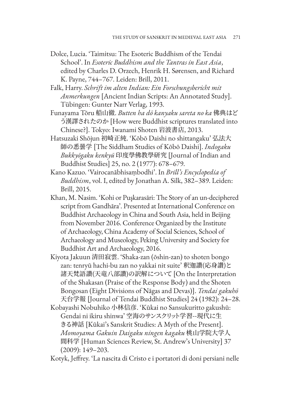- Dolce, Lucia. 'Taimitsu: The Esoteric Buddhism of the Tendai School'. In *Esoteric Buddhism and the Tantras in East Asia*, edited by Charles D. Orzech, Henrik H. Sørensen, and Richard K. Payne, 744–767. Leiden: Brill, 2011.
- Falk, Harry. *Schrift im alten Indian: Ein Forschungsbericht mit Anmerkungen* [Ancient Indian Scripts: An Annotated Study]. Tübingen: Gunter Narr Verlag, 1993.
- Funayama Tōru 船山徹. *Butten ha dō kanyaku sareta no ka* 佛典はど う漢譯されたのか [How were Buddhist scriptures translated into Chinese?]. Tokyo: Iwanami Shoten 岩波書店, 2013.
- Hatsuzaki Shōjun 初崎正純. 'Kōbō Daishi no shittangaku' 弘法大 師の悉曇学 [The Siddham Studies of Kōbō Daishi]. *Indogaku Bukkyōgaku kenkyū* 印度學佛教學研究 [Journal of Indian and Buddhist Studies] 25, no. 2 (1977): 678–679.
- Kano Kazuo. 'Vairocanābhisaṃbodhi'. In *Brill's Encyclopedia of Buddhism*, vol. I, edited by Jonathan A. Silk, 382–389. Leiden: Brill, 2015.
- Khan, M. Nasim. 'Kohi or Puşkarasāri: The Story of an un-deciphered script from Gandhāra'. Presented at International Conference on Buddhist Archaeology in China and South Asia, held in Beijing from November 2016. Conference Organized by the Institute of Archaeology, China Academy of Social Sciences, School of Archaeology and Museology, Peking University and Society for Buddhist Art and Archaeology, 2016.
- Kiyota Jakuun 清田寂雲. 'Shaka-zan (ōshin-zan) to shoten bongo zan: tenryū hachi-bu zan no yakkai nit suite' 釈迦讚(応身讚)と 諸天梵語讚(天竜八部讚)の訳解について [On the Interpretation of the Shakasan (Praise of the Response Body) and the Shoten Bongosan (Eight Divisions of Nāgas and Devas)]. *Tendai gakuhō* 天台学報 [Journal of Tendai Buddhist Studies] 24 (1982): 24–28.
- Kobayashi Nobuhiko 小林信彦. 'Kūkai no Sansukuritto gakushū: Gendai ni ikiru shinwa' 空海のサンスクリット学習--現代に生 きる神話 [Kūkai's Sanskrit Studies: A Myth of the Present]. *Momoyama Gakuin Daigaku ningen kagaku* 桃山学院大学人 間科学 [Human Sciences Review, St. Andrew's University] 37 (2009): 149–203.

Kotyk, Jeffrey. 'La nascita di Cristo e i portatori di doni persiani nelle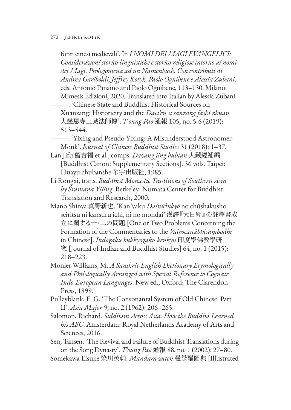fonti cinesi medievali'. In *I NOMI DEI MAGI EVANGELICI: Considerazioni storico-linguistiche e storico-religiose intorno ai nomi dei Magi. Prolegomena ad un Namenbuch. Con contributi di Andrea Gariboldi, Jeffrey Kotyk, Paolo Ognibene e Alessia Zubani*, eds. Antonio Panaino and Paolo Ognibene, 113–130. Milano: Mimesis Edizioni, 2020. Translated into Italian by Alessia Zubani.

———. 'Chinese State and Buddhist Historical Sources on Xuanzang: Historicity and the *Daci'en si sanzang fashi zhuan* 大慈恩寺三藏法師傳'. *T'oung Pao* 通報 105, no. 5-6 (2019): 513–544.

- ———. 'Yixing and Pseudo-Yixing: A Misunderstood Astronomer-Monk'. *Journal of Chinese Buddhist Studies* 31 (2018): 1–37.
- Lan Jifu 藍吉福 et al., comps. *Dazang jing bubian* 大藏經補編 [Buddhist Canon: Supplementary Sections]. 36 vols. Taipei: Huayu chubanshe 華宇出版社, 1985.
- Li Rongxi, trans. *Buddhist Monastic Traditions of Southern Asia by Śramaṇa Yijing*. Berkeley: Numata Center for Buddhist Translation and Research, 2000.
- Mano Shinya 真野新也. 'Kan'yaku *Dainichikyō* no chūshakusho seiritsu ni kansuru ichi, ni no mondai' 漢譯『大日經』の註釋書成 立に關する一、二の問題 [One or Two Problems Concerning the Formation of the Commentaries to the *Vairocanābhisaṃbodhi* in Chinese]. *Indogaku bukkyōgaku kenkyū* 印度學佛教學研 究 [Journal of Indian and Buddhist Studies] 64, no. 1 (2015): 218–223.
- Monier-Williams, M. *A Sanskrit-English Dictionary Etymologically and Philologically Arranged with Special Reference to Cognate Indo-European Languages*. New ed., Oxford: The Clarendon Press, 1899.
- Pulleyblank, E. G. 'The Consonantal System of Old Chinese: Part II'. *Asia Major* 9, no. 2 (1962): 206–265.
- Salomon, Richard. *Siddham Across Asia: How the Buddha Learned his ABC*. Amsterdam: Royal Netherlands Academy of Arts and Sciences, 2016.
- Sen, Tansen. 'The Revival and Failure of Buddhist Translations during on the Song Dynasty'. *T'oung Pao* 通報 88, no. 1 (2002): 27–80.
- Somekawa Eisuke 染川英輔. *Mandara zuten* 曼荼羅圖典 [Illustrated